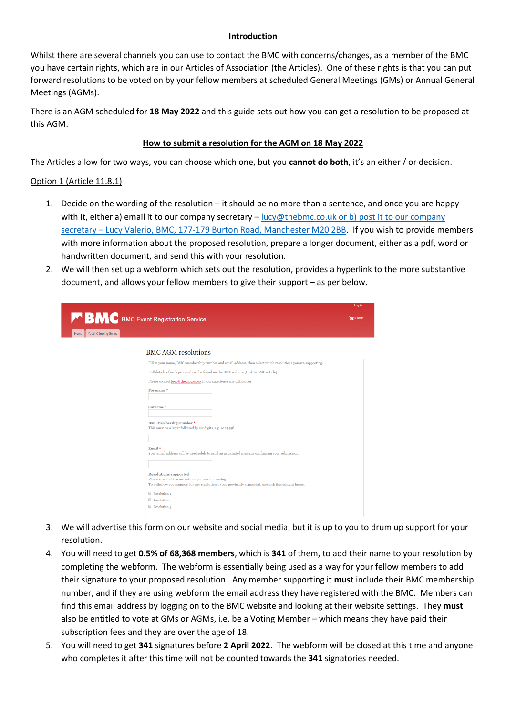### **Introduction**

Whilst there are several channels you can use to contact the BMC with concerns/changes, as a member of the BMC you have certain rights, which are in our Articles of Association (the Articles). One of these rights is that you can put forward resolutions to be voted on by your fellow members at scheduled General Meetings (GMs) or Annual General Meetings (AGMs).

There is an AGM scheduled for **18 May 2022** and this guide sets out how you can get a resolution to be proposed at this AGM.

### **How to submit a resolution for the AGM on 18 May 2022**

The Articles allow for two ways, you can choose which one, but you **cannot do both**, it's an either / or decision.

#### Option 1 (Article 11.8.1)

- 1. Decide on the wording of the resolution it should be no more than a sentence, and once you are happy with it, either a) email it to our company secretary  $-$  [lucy@thebmc.co.uk](mailto:lucy@thebmc.co.uk) or b) post it to our company secretary – Lucy Valerio, BMC, 177-179 Burton Road, Manchester M20 2BB. If you wish to provide members with more information about the proposed resolution, prepare a longer document, either as a pdf, word or handwritten document, and send this with your resolution.
- 2. We will then set up a webform which sets out the resolution, provides a hyperlink to the more substantive document, and allows your fellow members to give their support – as per below.

|                                                                                                                                                                                               | Log in               |
|-----------------------------------------------------------------------------------------------------------------------------------------------------------------------------------------------|----------------------|
| BMC BMC Event Registration Service                                                                                                                                                            | $\mathbf{E}$ 0 items |
| Youth Climbing Series<br>Home                                                                                                                                                                 |                      |
|                                                                                                                                                                                               |                      |
| <b>BMC AGM resolutions</b>                                                                                                                                                                    |                      |
| Fill in your name, BMC membership number and email address, then select which resolutions you are supporting.                                                                                 |                      |
| Full details of each proposal can be found on the BMC website [Link to BMC article]                                                                                                           |                      |
| Please contact lucy@thebmc.co.uk if you experience any difficulties.                                                                                                                          |                      |
| Forename*                                                                                                                                                                                     |                      |
| Surname*                                                                                                                                                                                      |                      |
| BMC Membership number *<br>This must be a letter followed by six digits, e.g. A123456                                                                                                         |                      |
| Email*<br>Your email address will be used solely to send an automated message confirming your submission.                                                                                     |                      |
| <b>Resolutions supported</b><br>Please select all the resolutions you are supporting.<br>To withdraw your support for any resolution(s) you previously supported, uncheck the relevant boxes. |                      |
| Resolution 1<br>Resolution 2<br>Resolution 3                                                                                                                                                  |                      |

- 3. We will advertise this form on our website and social media, but it is up to you to drum up support for your resolution.
- 4. You will need to get **0.5% of 68,368 members**, which is **341** of them, to add their name to your resolution by completing the webform. The webform is essentially being used as a way for your fellow members to add their signature to your proposed resolution. Any member supporting it **must** include their BMC membership number, and if they are using webform the email address they have registered with the BMC. Members can find this email address by logging on to the BMC website and looking at their website settings. They **must**  also be entitled to vote at GMs or AGMs, i.e. be a Voting Member – which means they have paid their subscription fees and they are over the age of 18.
- 5. You will need to get **341** signatures before **2 April 2022**. The webform will be closed at this time and anyone who completes it after this time will not be counted towards the **341** signatories needed.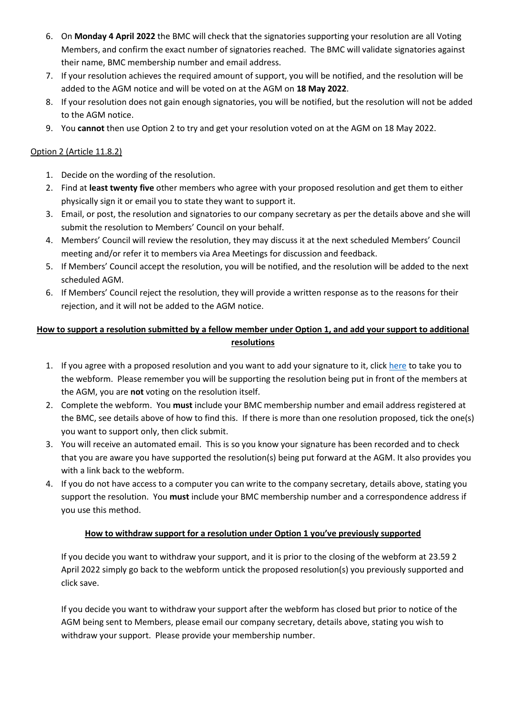- 6. On **Monday 4 April 2022** the BMC will check that the signatories supporting your resolution are all Voting Members, and confirm the exact number of signatories reached. The BMC will validate signatories against their name, BMC membership number and email address.
- 7. If your resolution achieves the required amount of support, you will be notified, and the resolution will be added to the AGM notice and will be voted on at the AGM on **18 May 2022**.
- 8. If your resolution does not gain enough signatories, you will be notified, but the resolution will not be added to the AGM notice.
- 9. You **cannot** then use Option 2 to try and get your resolution voted on at the AGM on 18 May 2022.

## Option 2 (Article 11.8.2)

- 1. Decide on the wording of the resolution.
- 2. Find at **least twenty five** other members who agree with your proposed resolution and get them to either physically sign it or email you to state they want to support it.
- 3. Email, or post, the resolution and signatories to our company secretary as per the details above and she will submit the resolution to Members' Council on your behalf.
- 4. Members' Council will review the resolution, they may discuss it at the next scheduled Members' Council meeting and/or refer it to members via Area Meetings for discussion and feedback.
- 5. If Members' Council accept the resolution, you will be notified, and the resolution will be added to the next scheduled AGM.
- 6. If Members' Council reject the resolution, they will provide a written response as to the reasons for their rejection, and it will not be added to the AGM notice.

# **How to support a resolution submitted by a fellow member under Option 1, and add your support to additional resolutions**

- 1. If you agree with a proposed resolution and you want to add your signature to it, clic[k here](https://webforms.thebmc.co.uk/agm-resolutions) to take you to the webform. Please remember you will be supporting the resolution being put in front of the members at the AGM, you are **not** voting on the resolution itself.
- 2. Complete the webform. You **must** include your BMC membership number and email address registered at the BMC, see details above of how to find this. If there is more than one resolution proposed, tick the one(s) you want to support only, then click submit.
- 3. You will receive an automated email. This is so you know your signature has been recorded and to check that you are aware you have supported the resolution(s) being put forward at the AGM. It also provides you with a link back to the webform.
- 4. If you do not have access to a computer you can write to the company secretary, details above, stating you support the resolution. You **must** include your BMC membership number and a correspondence address if you use this method.

### **How to withdraw support for a resolution under Option 1 you've previously supported**

If you decide you want to withdraw your support, and it is prior to the closing of the webform at 23.59 2 April 2022 simply go back to the webform untick the proposed resolution(s) you previously supported and click save.

If you decide you want to withdraw your support after the webform has closed but prior to notice of the AGM being sent to Members, please email our company secretary, details above, stating you wish to withdraw your support. Please provide your membership number.